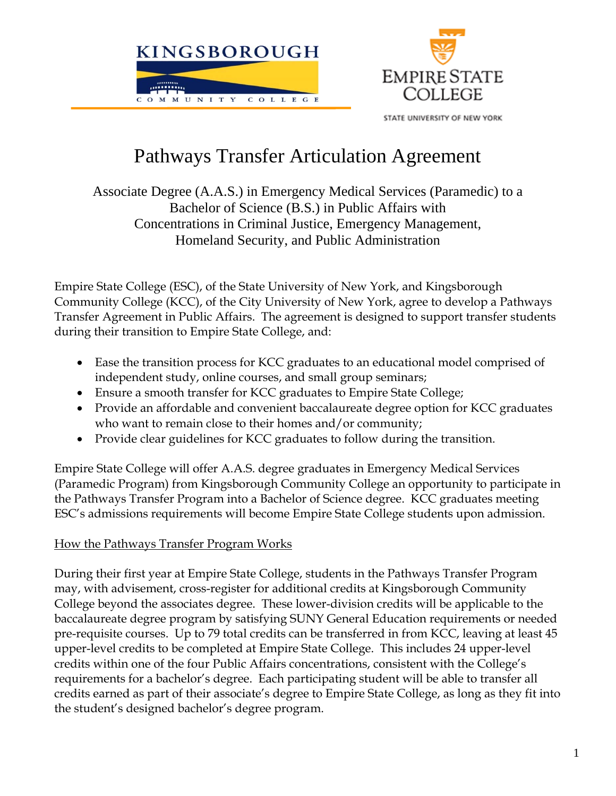

STATE UNIVERSITY OF NEW YORK

# Pathways Transfer Articulation Agreement

Associate Degree (A.A.S.) in Emergency Medical Services (Paramedic) to a Bachelor of Science (B.S.) in Public Affairs with Concentrations in Criminal Justice, Emergency Management, Homeland Security, and Public Administration

Empire State College (ESC), of the State University of New York, and Kingsborough Community College (KCC), of the City University of New York, agree to develop a Pathways Transfer Agreement in Public Affairs. The agreement is designed to support transfer students during their transition to Empire State College, and:

- Ease the transition process for KCC graduates to an educational model comprised of independent study, online courses, and small group seminars;
- Ensure a smooth transfer for KCC graduates to Empire State College;
- Provide an affordable and convenient baccalaureate degree option for KCC graduates who want to remain close to their homes and/or community;
- Provide clear guidelines for KCC graduates to follow during the transition.

Empire State College will offer A.A.S. degree graduates in Emergency Medical Services (Paramedic Program) from Kingsborough Community College an opportunity to participate in the Pathways Transfer Program into a Bachelor of Science degree. KCC graduates meeting ESC's admissions requirements will become Empire State College students upon admission.

## How the Pathways Transfer Program Works

During their first year at Empire State College, students in the Pathways Transfer Program may, with advisement, cross-register for additional credits at Kingsborough Community College beyond the associates degree. These lower-division credits will be applicable to the baccalaureate degree program by satisfying SUNY General Education requirements or needed pre-requisite courses. Up to 79 total credits can be transferred in from KCC, leaving at least 45 upper-level credits to be completed at Empire State College. This includes 24 upper-level credits within one of the four Public Affairs concentrations, consistent with the College's requirements for a bachelor's degree. Each participating student will be able to transfer all credits earned as part of their associate's degree to Empire State College, as long as they fit into the student's designed bachelor's degree program.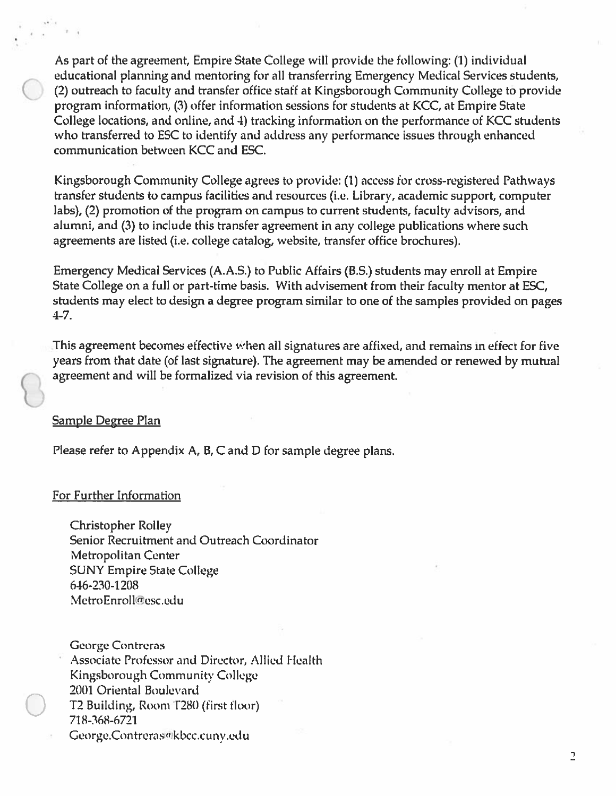As part of the agreement, Empire State College will provide the following: (1) individual educational planning and mentoring for all transferring Emergency Medical Services students, (2) outreach to faculty and transfer office staff at Kingsborough Community College to provide program information, (3) offer information sessions for students at KCC, at Empire State College locations, and online, and 4) tracking information on the performance of KCC students who transferred to ESC to identify and address any performance issues through enhanced communication between KCC and ESC.

Kingsborough Community College agrees to provide: (1) access for cross-registered Pathways transfer students to campus facilities and resources (i.e. Library, academic support, computer labs), (2) promotion of the program on campus to current students, faculty advisors, and alumni, and (3) to include this transfer agreement in any college publications where such agreements are listed (i.e. college catalog, website, transfer office brochures).

Emergency Medical Services (A.A.S.) to Public Affairs (B.S.) students may enroll at Empire State College on a full or part-time basis. With advisement from their faculty mentor at ESC, students may elect to design a degree program similar to one of the samples provided on pages  $4 - 7.$ 

This agreement becomes effective when all signatures are affixed, and remains in effect for five years from that date (of last signature). The agreement may be amended or renewed by mutual agreement and will be formalized via revision of this agreement.

#### **Sample Degree Plan**

Please refer to Appendix A, B, C and D for sample degree plans.

#### **For Further Information**

**Christopher Rolley** Senior Recruitment and Outreach Coordinator Metropolitan Center **SUNY Empire State College** 646-230-1208 MetroEnroll@esc.edu

**George Contreras** Associate Professor and Director, Allied Health Kingsborough Community College 2001 Oriental Boulevard T2 Building, Room T280 (first floor) 718-368-6721 George.Contreras@kbcc.cuny.edu

 $\overline{a}$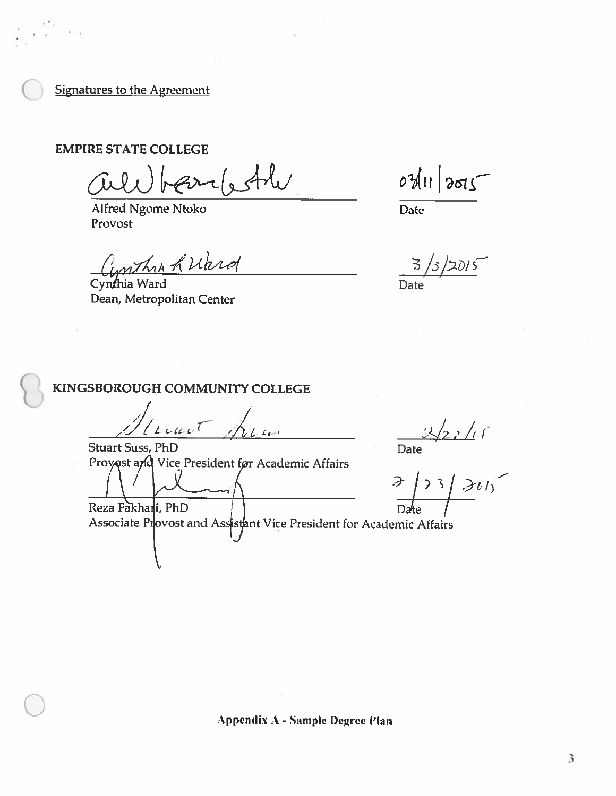**Signatures to the Agreement** 

**EMPIRE STATE COLLEGE** 

earlesthe

Alfred Ngome Ntoko Provost

Cynthia K Ward

Dean, Metropolitan Center

 $03112005$ 

Date

 $\mathbb{E}$ 

Date

## KINGSBOROUGH COMMUNITY COLLEGE

 $L$ cart  $-65 - 1$ 

**Stuart Suss, PhD** Provost and Vice President for Academic Affairs

Date<br>  $\frac{3}{2}$ <br>  $\frac{3}{2}$ <br>  $\frac{3}{2}$ <br>  $\frac{3}{2}$ <br>  $\frac{3}{2}$ <br>  $\frac{3}{2}$ <br>  $\frac{3}{2}$ <br>  $\frac{3}{2}$ 

Reza Fakhari, PhD Associate Provost and Assistant Vice President for Academic Affairs

Appendix A - Sample Degree Plan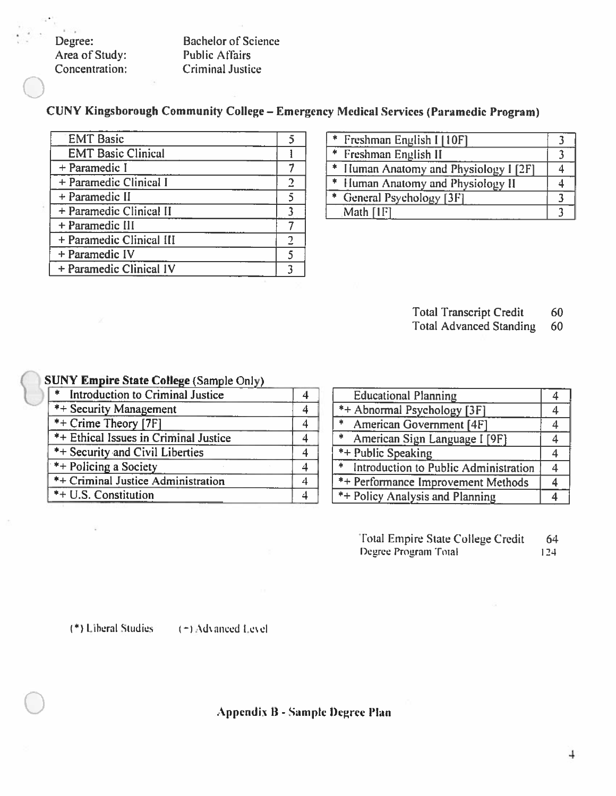Degree: Area of Study: Concentration:

 $\Gamma_{\rm{max}}$ 

**Bachelor of Science Public Affairs Criminal Justice** 

CUNY Kingsborough Community College - Emergency Medical Services (Paramedic Program)

| <b>EMT Basic</b>          |  |
|---------------------------|--|
| <b>EMT Basic Clinical</b> |  |
| + Paramedic I             |  |
| + Paramedic Clinical I    |  |
| + Paramedic II            |  |
| + Paramedic Clinical II   |  |
| + Paramedic III           |  |
| + Paramedic Clinical III  |  |
| + Paramedic IV            |  |
| + Paramedic Clinical IV   |  |

| * Freshman English I [10F]            |  |
|---------------------------------------|--|
| * Freshman English II                 |  |
| * Human Anatomy and Physiology I [2F] |  |
| * Human Anatomy and Physiology II     |  |
| * General Psychology [3F]             |  |
| Math [1F]                             |  |

**Total Transcript Credit** 60

**Total Advanced Standing** 60

#### **SUNY Empire State College (Sample Only)**

| * Introduction to Criminal Justice    |               |
|---------------------------------------|---------------|
| *+ Security Management                | 金             |
| *+ Crime Theory [7F]                  | 业             |
| *+ Ethical Issues in Criminal Justice | $\Delta$      |
| *+ Security and Civil Liberties       | $\frac{1}{2}$ |
| *+ Policing a Society                 | $\Delta t$    |
| *+ Criminal Justice Administration    | $\frac{1}{2}$ |
| *+ U.S. Constitution                  | $\frac{1}{2}$ |

| <b>Educational Planning</b>             |  |
|-----------------------------------------|--|
| *+ Abnormal Psychology [3F]             |  |
| * American Government [4F]              |  |
| * American Sign Language I [9F]         |  |
| $  *$ Public Speaking                   |  |
| * Introduction to Public Administration |  |
| *+ Performance Improvement Methods      |  |
| <b>*+ Policy Analysis and Planning</b>  |  |

| Total Empire State College Credit | 64  |
|-----------------------------------|-----|
| Degree Program Total              | 124 |

(\*) Liberal Studies

(+) Advanced Level

Appendix B - Sample Degree Plan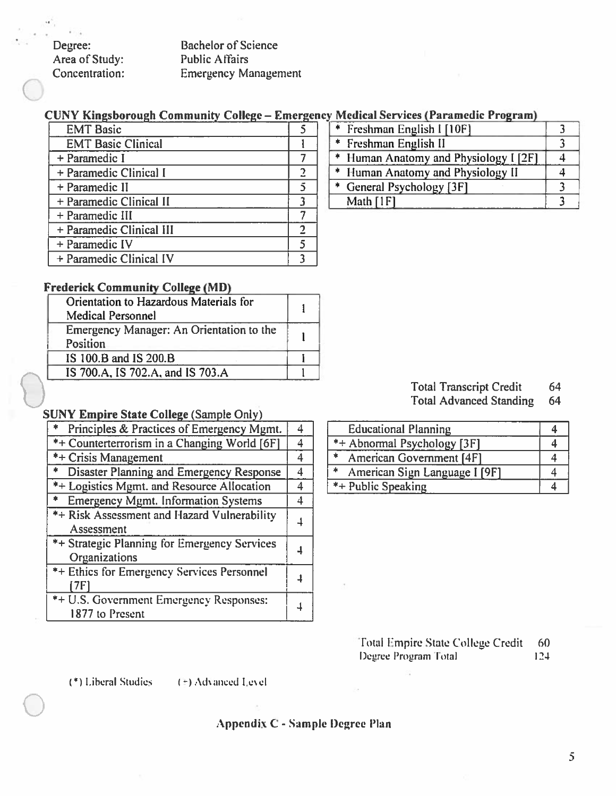Degree: Area of Study: Concentration: **Bachelor of Science Public Affairs Emergency Management** 

#### CUNY Kingsborough Community College - Emergency Medical Services (Paramedic Program)

| <b>EMT Basic</b>          |  |
|---------------------------|--|
| <b>EMT Basic Clinical</b> |  |
| + Paramedic I             |  |
| + Paramedic Clinical I    |  |
| + Paramedic II            |  |
| + Paramedic Clinical II   |  |
| + Paramedic III           |  |
| + Paramedic Clinical III  |  |
| + Paramedic IV            |  |
| + Paramedic Clinical IV   |  |

#### **Frederick Community College (MD)**

| Orientation to Hazardous Materials for   |  |  |
|------------------------------------------|--|--|
| <b>Medical Personnel</b>                 |  |  |
| Emergency Manager: An Orientation to the |  |  |
| Position                                 |  |  |
| IS 100.B and IS 200.B                    |  |  |
| IS 700.A, IS 702.A, and IS 703.A         |  |  |
|                                          |  |  |

#### **SUNY Empire State College (Sample Only)**

| Principles & Practices of Emergency Mgmt.    | 4 |
|----------------------------------------------|---|
| *+ Counterterrorism in a Changing World [6F] | 4 |
| *+ Crisis Management                         | 4 |
| Disaster Planning and Emergency Response     | 4 |
| *+ Logistics Mgmt. and Resource Allocation   | 4 |
| <b>Emergency Mgmt. Information Systems</b>   | 4 |
| *+ Risk Assessment and Hazard Vulnerability  |   |
| Assessment                                   |   |
| *+ Strategic Planning for Emergency Services |   |
| Organizations                                |   |
| *+ Ethics for Emergency Services Personnel   |   |
| 7F1                                          |   |
| *+ U.S. Government Emergency Responses:      |   |
| 1877 to Present                              |   |

| * Freshman English I [10F]            |  |
|---------------------------------------|--|
| * Freshman English II                 |  |
| * Human Anatomy and Physiology I [2F] |  |
| * Human Anatomy and Physiology II     |  |
| * General Psychology [3F]             |  |
| Math $[1F]$                           |  |

| <b>Total Transcript Credit</b> | 64 |
|--------------------------------|----|
|                                |    |

Total Advanced Standing 64

| <b>Educational Planning</b>        |  |
|------------------------------------|--|
| *+ Abnormal Psychology [3F]        |  |
| $\ast$<br>American Government [4F] |  |
| 米<br>American Sign Language I [9F] |  |
| *+ Public Speaking                 |  |

Total Empire State College Credit - 60 Degree Program Total  $124$ 

(\*) Liberal Studies

 $(\pm)$  Advanced Level

#### Appendix C - Sample Degree Plan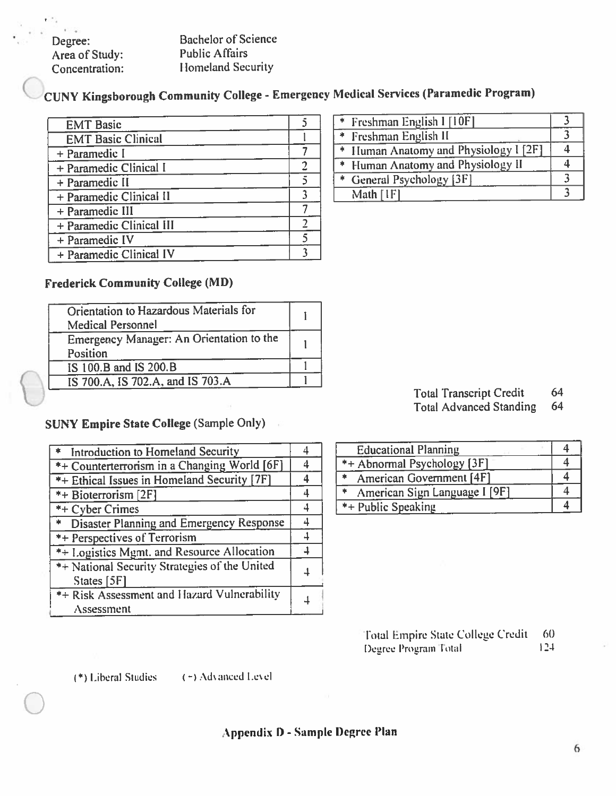Degree: Area of Study: Concentration:

**Bachelor of Science Public Affairs Homeland Security** 

CUNY Kingsborough Community College - Emergency Medical Services (Paramedic Program)

| <b>EMT</b> Basic          |  |
|---------------------------|--|
| <b>EMT Basic Clinical</b> |  |
| + Paramedic I             |  |
| + Paramedic Clinical I    |  |
| + Paramedic II            |  |
| + Paramedic Clinical II   |  |
| + Paramedic III           |  |
| + Paramedic Clinical III  |  |
| + Paramedic IV            |  |
| + Paramedic Clinical IV   |  |

## **Frederick Community College (MD)**

| Orientation to Hazardous Materials for<br><b>Medical Personnel</b> |  |
|--------------------------------------------------------------------|--|
| Emergency Manager: An Orientation to the<br>Position               |  |
| IS 100.B and IS 200.B                                              |  |
| IS 700.A, IS 702.A, and IS 703.A                                   |  |

## **SUNY Empire State College (Sample Only)**

| * Introduction to Homeland Security                            | ⊿ |
|----------------------------------------------------------------|---|
| *+ Counterterrorism in a Changing World [6F]                   |   |
| *+ Ethical Issues in Homeland Security [7F]                    |   |
| *+ Bioterrorism [2F]                                           | 4 |
| *+ Cyber Crimes                                                | 4 |
| * Disaster Planning and Emergency Response                     |   |
| *+ Perspectives of Terrorism                                   |   |
| *+ Logistics Mgmt. and Resource Allocation                     |   |
| *+ National Security Strategies of the United<br>States $[5F]$ |   |
| *+ Risk Assessment and Hazard Vulnerability<br>Assessment      |   |

| * Freshman English I [10F]            |  |
|---------------------------------------|--|
| * Freshman English II                 |  |
| * Human Anatomy and Physiology I [2F] |  |
| * Human Anatomy and Physiology II     |  |
| * General Psychology [3F]             |  |
| Math [1F]                             |  |

|  |  | <b>Total Transcript Credit</b> |  | 64 |
|--|--|--------------------------------|--|----|
|  |  |                                |  |    |

**Total Advanced Standing** -64

| <b>Educational Planning</b>   |  |
|-------------------------------|--|
| *+ Abnormal Psychology [3F]   |  |
| American Government [4F]      |  |
| American Sign Language I [9F] |  |
| *+ Public Speaking            |  |

Total Empire State College Credit 60 Degree Program Total  $124$ 

(\*) Liberal Studies (\*) Advanced Level

## Appendix D - Sample Degree Plan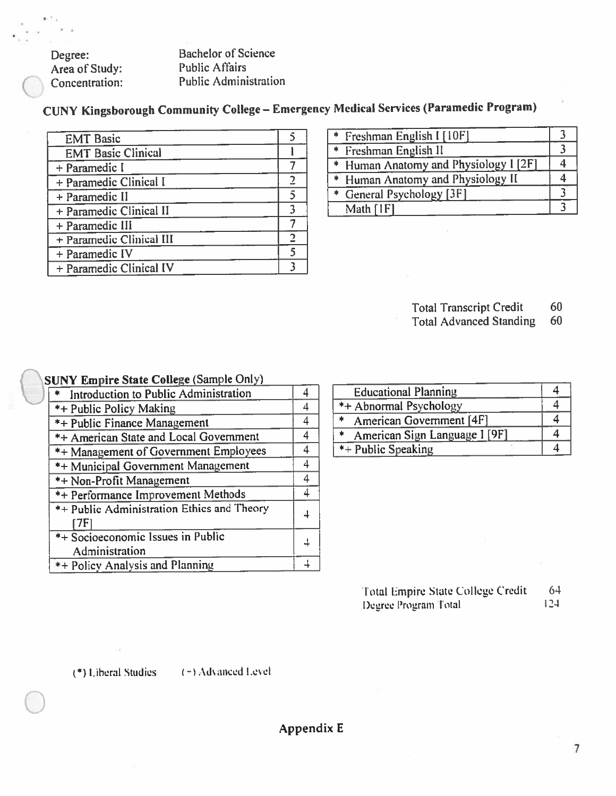**Bachelor of Science** Degree: Area of Study: **Public Affairs** Concentration: **Public Administration** 

CUNY Kingsborough Community College - Emergency Medical Services (Paramedic Program)

| <b>EMT Basic</b>          |  |
|---------------------------|--|
| <b>EMT Basic Clinical</b> |  |
| + Paramedic I             |  |
| + Paramedic Clinical I    |  |
| + Paramedic II            |  |
| + Paramedic Clinical II   |  |
| + Paramedic III           |  |
| + Paramedic Clinical III  |  |
| + Paramedic IV            |  |
| + Paramedic Clinical IV   |  |
|                           |  |

| * Freshman English I [10F]            |  |
|---------------------------------------|--|
| * Freshman English II                 |  |
| * Human Anatomy and Physiology I [2F] |  |
| * Human Anatomy and Physiology II     |  |
| * General Psychology [3F]             |  |
| Math [IF]                             |  |

**Total Transcript Credit** 60

**Total Advanced Standing** 60

#### **SUNY Empire State College (Sample Only)**

| * Introduction to Public Administration             | 4 |
|-----------------------------------------------------|---|
| *+ Public Policy Making                             | 4 |
| *+ Public Finance Management                        | 4 |
| *+ American State and Local Government              | 4 |
| *+ Management of Government Employees               | 4 |
| <b>*+ Municipal Government Management</b>           | 4 |
| *+ Non-Profit Management                            | 4 |
| <b>*+ Performance Improvement Methods</b>           | 4 |
| *+ Public Administration Ethics and Theory          | 4 |
| *+ Socioeconomic Issues in Public<br>Administration |   |
| *+ Policy Analysis and Planning                     |   |

| <b>Educational Planning</b>        |  |
|------------------------------------|--|
| *+ Abnormal Psychology             |  |
| American Government [4F]<br>$\ast$ |  |
| American Sign Language I [9F]<br>* |  |
| *+ Public Speaking                 |  |

| Total Empire State College Credit | 64   |
|-----------------------------------|------|
| Degree Program Total              | -124 |

(\*) Liberal Studies

 $(\pi)$  Advanced Level